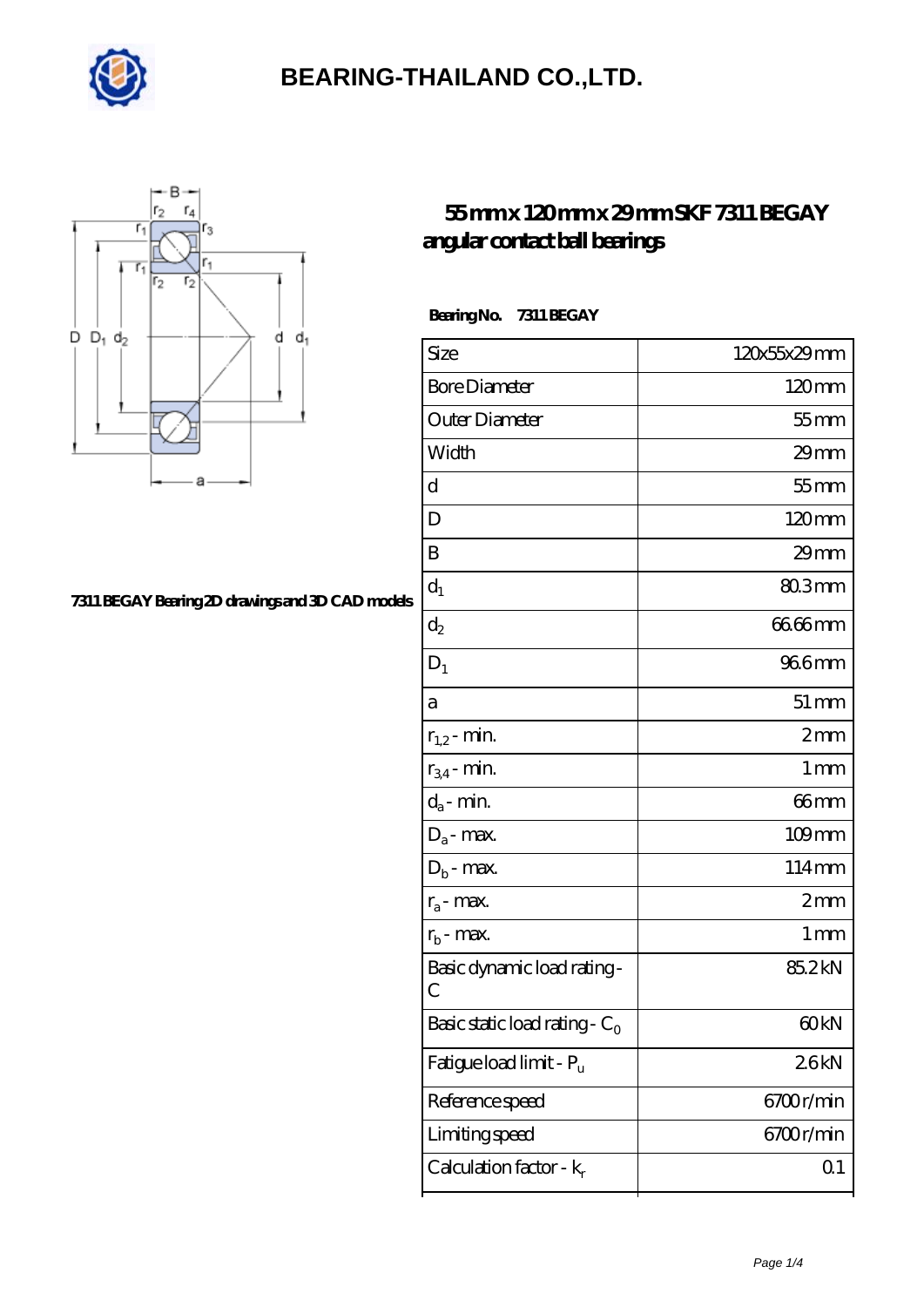



#### **[7311 BEGAY Bearing 2D drawings and 3D CAD models](https://goldengatetunnel.com/pic-387938.html)**

#### **[55 mm x 120 mm x 29 mm SKF 7311 BEGAY](https://goldengatetunnel.com/bj-387938-skf-7311-begay-angular-contact-ball-bearings.html) [angular contact ball bearings](https://goldengatetunnel.com/bj-387938-skf-7311-begay-angular-contact-ball-bearings.html)**

 **Bearing No. 7311 BEGAY**

| Size                             | 120x55x29mm        |
|----------------------------------|--------------------|
| <b>Bore Diameter</b>             | 120mm              |
| Outer Diameter                   | $55$ mm            |
| Width                            | $29$ mm            |
| d                                | $55$ mm            |
| D                                | 120mm              |
| B                                | $29$ mm            |
| $d_1$                            | 803mm              |
| $\mathrm{d}_2$                   | 66.66mm            |
| $D_1$                            | 966mm              |
| a                                | $51 \,\mathrm{mm}$ |
| $r_{1,2}$ - min.                 | 2mm                |
| $r_{34}$ - min.                  | $1 \,\mathrm{mm}$  |
| $d_a$ - min.                     | 66mm               |
| $D_a$ - max.                     | $109$ mm           |
| $D_b$ - max.                     | 114mm              |
| $r_a$ - max.                     | 2mm                |
| $r_{b}$ - max.                   | $1 \,\mathrm{mm}$  |
| Basic dynamic load rating-<br>С  | 85.2kN             |
| Basic static load rating - $C_0$ | 60 <sub>kN</sub>   |
| Fatigue load limit - Pu          | 26kN               |
| Reference speed                  | 6700r/min          |
| Limiting speed                   | 6700r/min          |
| Calculation factor - $k_r$       | Q <sub>1</sub>     |
|                                  |                    |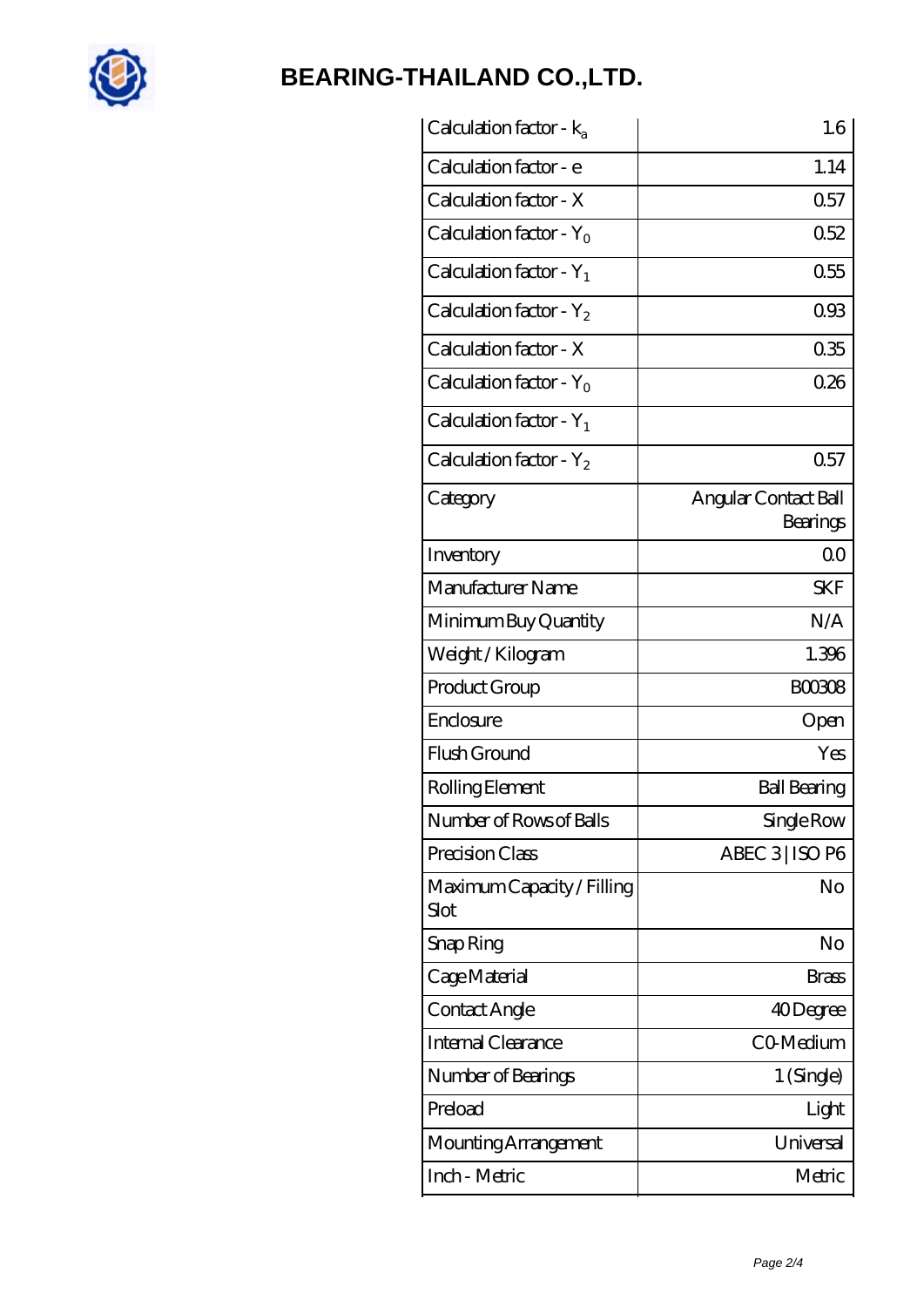

| Calculation factor - ka            | 1.6                              |
|------------------------------------|----------------------------------|
| Calculation factor - e             | 1.14                             |
| Calculation factor - X             | 0.57                             |
| Calculation factor - $Y_0$         | 0.52                             |
| Calculation factor - $Y_1$         | 0.55                             |
| Calculation factor - $Y_2$         | 093                              |
| Calculation factor - X             | 035                              |
| Calculation factor - $Y_0$         | 026                              |
| Calculation factor - $Y_1$         |                                  |
| Calculation factor - $Y_2$         | 0.57                             |
| Category                           | Angular Contact Ball<br>Bearings |
| Inventory                          | 0 <sub>0</sub>                   |
| Manufacturer Name                  | <b>SKF</b>                       |
| Minimum Buy Quantity               | N/A                              |
| Weight / Kilogram                  | 1.396                            |
| Product Group                      | <b>BOO308</b>                    |
| Enclosure                          | Open                             |
| Flush Ground                       | Yes                              |
| Rolling Element                    | <b>Ball Bearing</b>              |
| Number of Rows of Balls            | Single Row                       |
| Precision Class                    | ABEC 3   ISO P6                  |
| Maximum Capacity / Filling<br>Slot | No                               |
| Snap Ring                          | No                               |
| Cage Material                      | Brass                            |
| Contact Angle                      | 40Degree                         |
| Internal Clearance                 | CO-Medium                        |
| Number of Bearings                 | 1 (Single)                       |
| Preload                            | Light                            |
| Mounting Arrangement               | Universal                        |
| Inch - Metric                      | Metric                           |
|                                    |                                  |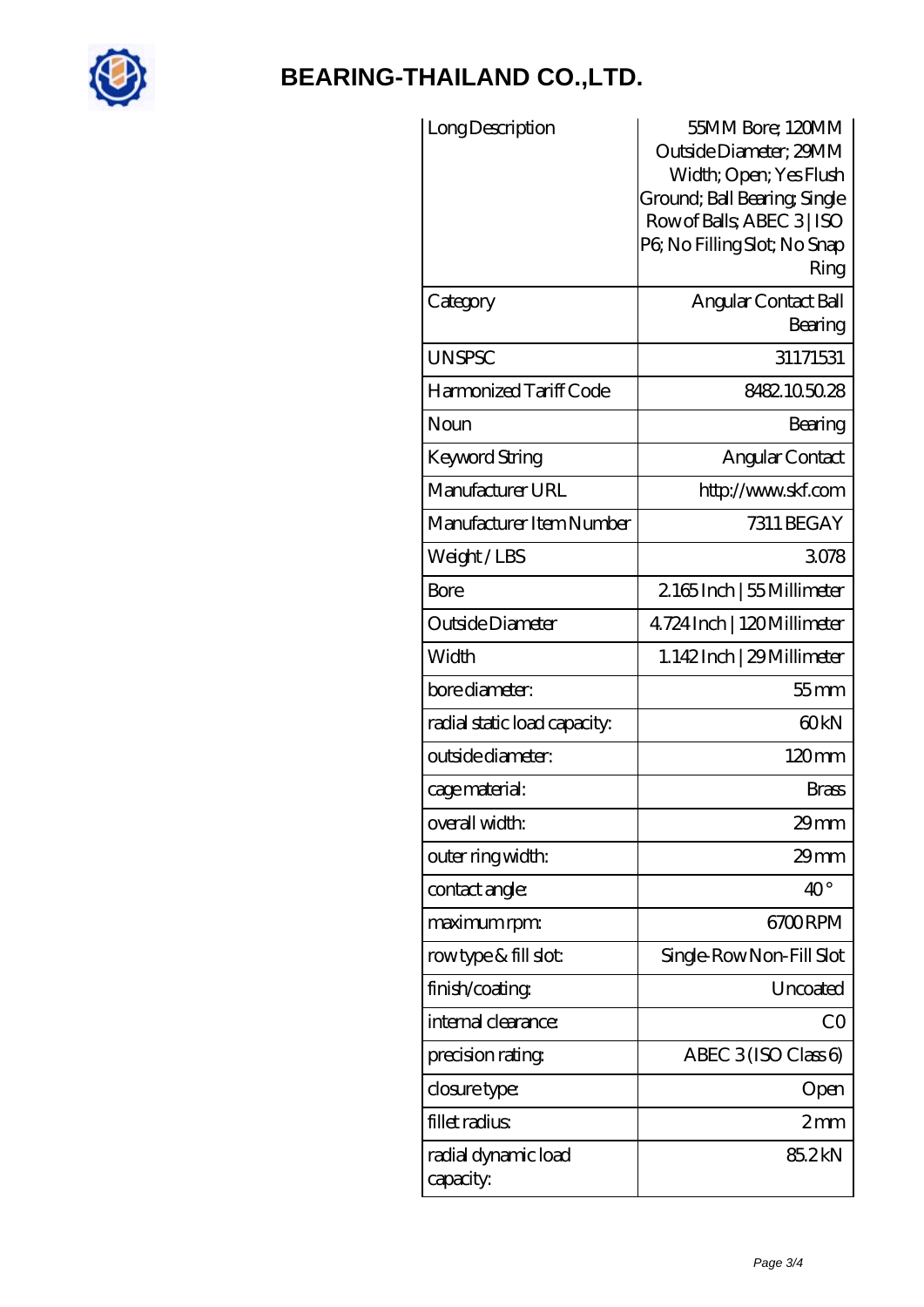

| Long Description                 | 55MM Bore; 120MM<br>Outside Diameter; 29MM<br>Width; Open; Yes Flush<br>Ground; Ball Bearing; Single<br>Row of Balls, ABEC 3   ISO<br>PG No Filling Slot; No Snap<br>Ring |
|----------------------------------|---------------------------------------------------------------------------------------------------------------------------------------------------------------------------|
| Category                         | Angular Contact Ball<br>Bearing                                                                                                                                           |
| <b>UNSPSC</b>                    | 31171531                                                                                                                                                                  |
| Harmonized Tariff Code           | 8482.105028                                                                                                                                                               |
| Noun                             | Bearing                                                                                                                                                                   |
| Keyword String                   | Angular Contact                                                                                                                                                           |
| Manufacturer URL                 | http://www.skf.com                                                                                                                                                        |
| Manufacturer Item Number         | 7311 BEGAY                                                                                                                                                                |
| Weight/LBS                       | 3078                                                                                                                                                                      |
| <b>Bore</b>                      | 2165Inch   55 Millimeter                                                                                                                                                  |
| Outside Diameter                 | 4724 Inch   120 Millimeter                                                                                                                                                |
| Width                            | 1.142Inch   29 Millimeter                                                                                                                                                 |
| bore diameter:                   | $55$ mm                                                                                                                                                                   |
| radial static load capacity:     | 60 <sub>kN</sub>                                                                                                                                                          |
| outside diameter:                | 120mm                                                                                                                                                                     |
| cage material:                   | Brass                                                                                                                                                                     |
| overall width:                   | $29$ mm                                                                                                                                                                   |
| outer ring width:                | 29mm                                                                                                                                                                      |
| contact angle:                   | $40^{\circ}$                                                                                                                                                              |
| maximum rpm:                     | 6700RPM                                                                                                                                                                   |
| rowtype & fill slot:             | Single-RowNon-Fill Slot                                                                                                                                                   |
| finish/coating                   | Uncoated                                                                                                                                                                  |
| internal clearance:              | CO                                                                                                                                                                        |
| precision rating                 | ABEC $3$ (ISO Class 6)                                                                                                                                                    |
| closure type:                    | Open                                                                                                                                                                      |
| fillet radius                    | 2mm                                                                                                                                                                       |
| radial dynamic load<br>capacity: | 85.2kN                                                                                                                                                                    |